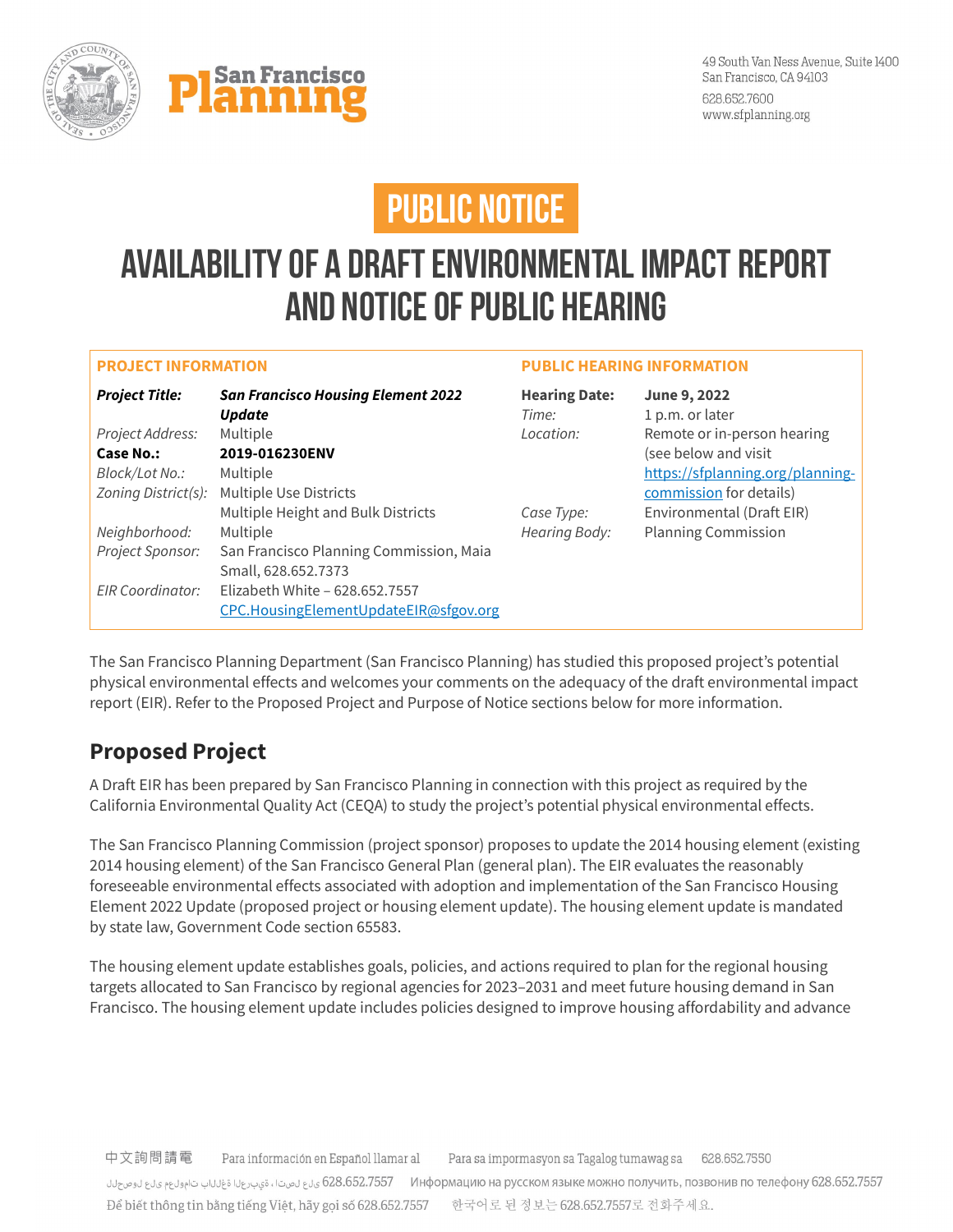



# **PUBLIC NOTICE**

## **Availability of a Draft Environmental Impact Report and Notice of Public Hearing**

**PUBLIC HEARING INFORMATION**

#### **PROJECT INFORMATION**

| <b>Project Title:</b>   | <b>San Francisco Housing Element 2022</b><br><b>Update</b> | <b>Hearing Date:</b><br>Time: | <b>June 9, 2022</b><br>1 p.m. or later |
|-------------------------|------------------------------------------------------------|-------------------------------|----------------------------------------|
| Project Address:        | Multiple                                                   | Location:                     | Remote or in-person hearing            |
| <b>Case No.:</b>        | 2019-016230ENV                                             |                               | (see below and visit                   |
| Block/Lot No.:          | Multiple                                                   |                               | https://sfplanning.org/planning-       |
|                         | Zoning District(s): Multiple Use Districts                 |                               | commission for details)                |
|                         | Multiple Height and Bulk Districts                         | Case Type:                    | Environmental (Draft EIR)              |
| Neighborhood:           | Multiple                                                   | Hearing Body:                 | <b>Planning Commission</b>             |
| Project Sponsor:        | San Francisco Planning Commission, Maia                    |                               |                                        |
|                         | Small, 628.652.7373                                        |                               |                                        |
| <b>EIR Coordinator:</b> | Elizabeth White - 628.652.7557                             |                               |                                        |
|                         | CPC.HousingElementUpdateEIR@sfgov.org                      |                               |                                        |

The San Francisco Planning Department (San Francisco Planning) has studied this proposed project's potential physical environmental effects and welcomes your comments on the adequacy of the draft environmental impact report (EIR). Refer to the Proposed Project and Purpose of Notice sections below for more information.

## **Proposed Project**

A Draft EIR has been prepared by San Francisco Planning in connection with this project as required by the California Environmental Quality Act (CEQA) to study the project's potential physical environmental effects.

The San Francisco Planning Commission (project sponsor) proposes to update the 2014 housing element (existing 2014 housing element) of the San Francisco General Plan (general plan). The EIR evaluates the reasonably foreseeable environmental effects associated with adoption and implementation of the San Francisco Housing Element 2022 Update (proposed project or housing element update). The housing element update is mandated by state law, Government Code section 65583.

The housing element update establishes goals, policies, and actions required to plan for the regional housing targets allocated to San Francisco by regional agencies for 2023–2031 and meet future housing demand in San Francisco. The housing element update includes policies designed to improve housing affordability and advance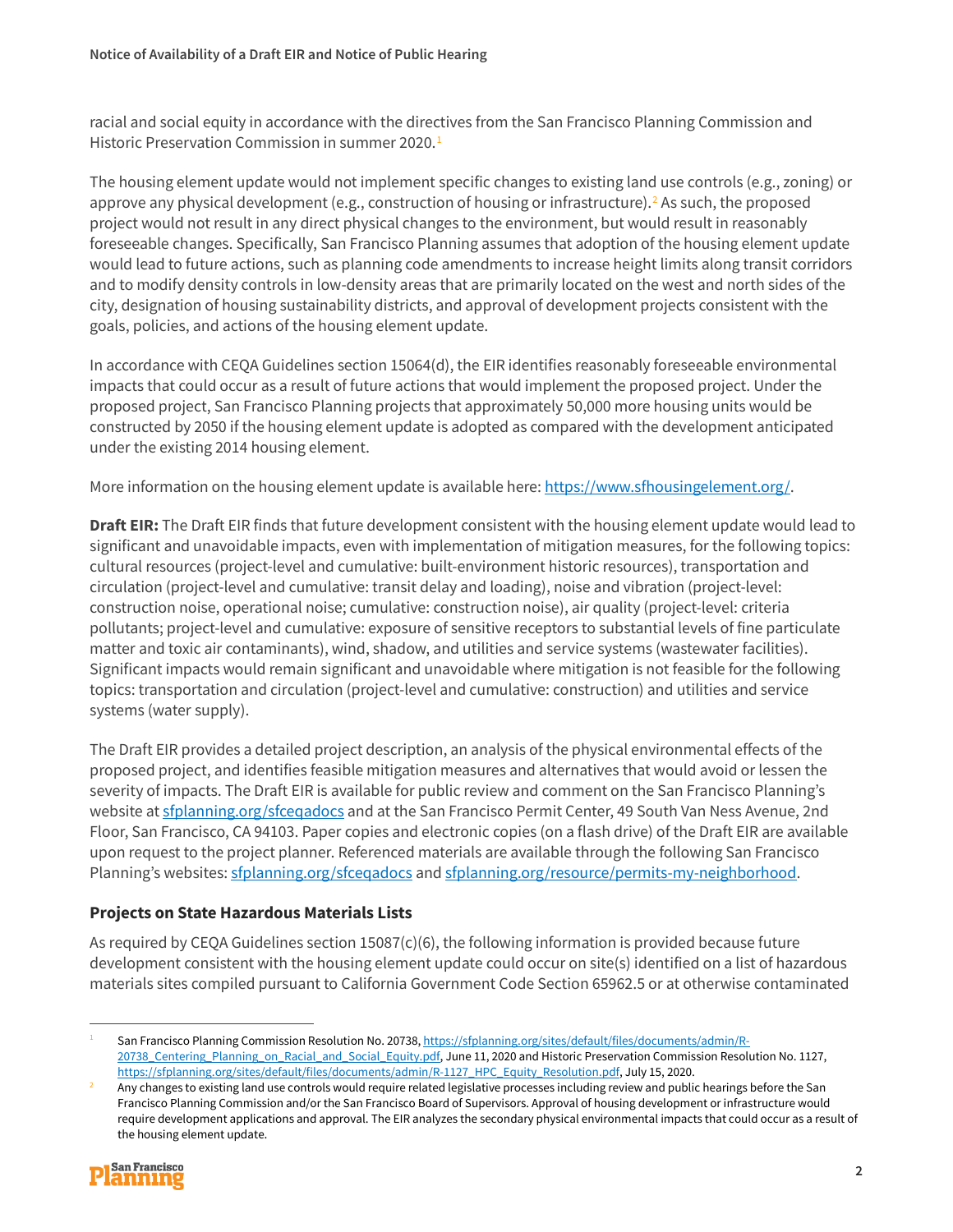racial and social equity in accordance with the directives from the San Francisco Planning Commission and Historic Preservation Commission in summer 2020.<sup>[1](#page-1-0)</sup>

The housing element update would not implement specific changes to existing land use controls (e.g., zoning) or approve any physical development (e.g., construction of housing or infrastructure).<sup>[2](#page-1-1)</sup> As such, the proposed project would not result in any direct physical changes to the environment, but would result in reasonably foreseeable changes. Specifically, San Francisco Planning assumes that adoption of the housing element update would lead to future actions, such as planning code amendments to increase height limits along transit corridors and to modify density controls in low-density areas that are primarily located on the west and north sides of the city, designation of housing sustainability districts, and approval of development projects consistent with the goals, policies, and actions of the housing element update.

In accordance with CEQA Guidelines section 15064(d), the EIR identifies reasonably foreseeable environmental impacts that could occur as a result of future actions that would implement the proposed project. Under the proposed project, San Francisco Planning projects that approximately 50,000 more housing units would be constructed by 2050 if the housing element update is adopted as compared with the development anticipated under the existing 2014 housing element.

More information on the housing element update is available here[: https://www.sfhousingelement.org/.](https://www.sfhousingelement.org/)

**Draft EIR:** The Draft EIR finds that future development consistent with the housing element update would lead to significant and unavoidable impacts, even with implementation of mitigation measures, for the following topics: cultural resources (project-level and cumulative: built-environment historic resources), transportation and circulation (project-level and cumulative: transit delay and loading), noise and vibration (project-level: construction noise, operational noise; cumulative: construction noise), air quality (project-level: criteria pollutants; project-level and cumulative: exposure of sensitive receptors to substantial levels of fine particulate matter and toxic air contaminants), wind, shadow, and utilities and service systems (wastewater facilities). Significant impacts would remain significant and unavoidable where mitigation is not feasible for the following topics: transportation and circulation (project-level and cumulative: construction) and utilities and service systems (water supply).

The Draft EIR provides a detailed project description, an analysis of the physical environmental effects of the proposed project, and identifies feasible mitigation measures and alternatives that would avoid or lessen the severity of impacts. The Draft EIR is available for public review and comment on the San Francisco Planning's website at sfplanning.org/sfceqadocs and at the San Francisco Permit Center, 49 South Van Ness Avenue, 2nd Floor, San Francisco, CA 94103. Paper copies and electronic copies (on a flash drive) of the Draft EIR are available upon request to the project planner. Referenced materials are available through the following San Francisco Planning's websites: sfplanning.org/sfceqadocs an[d sfplanning.org/resource/permits-my-neighborhood.](https://sfplanning.org/resource/permits-my-neighborhood)

#### **Projects on State Hazardous Materials Lists**

As required by CEQA Guidelines section 15087(c)(6), the following information is provided because future development consistent with the housing element update could occur on site(s) identified on a list of hazardous materials sites compiled pursuant to California Government Code Section 65962.5 or at otherwise contaminated

<span id="page-1-1"></span><sup>2</sup> Any changes to existing land use controls would require related legislative processes including review and public hearings before the San Francisco Planning Commission and/or the San Francisco Board of Supervisors. Approval of housing development or infrastructure would require development applications and approval. The EIR analyzes the secondary physical environmental impacts that could occur as a result of the housing element update.



<span id="page-1-0"></span>San Francisco Planning Commission Resolution No. 20738, [https://sfplanning.org/sites/default/files/documents/admin/R-](https://sfplanning.org/sites/default/files/documents/admin/R-20738_Centering_Planning_on_Racial_and_Social_Equity.pdf)[20738\\_Centering\\_Planning\\_on\\_Racial\\_and\\_Social\\_Equity.pdf,](https://sfplanning.org/sites/default/files/documents/admin/R-20738_Centering_Planning_on_Racial_and_Social_Equity.pdf) June 11, 2020 and Historic Preservation Commission Resolution No. 1127, [https://sfplanning.org/sites/default/files/documents/admin/R-1127\\_HPC\\_Equity\\_Resolution.pdf,](https://sfplanning.org/sites/default/files/documents/admin/R-1127_HPC_Equity_Resolution.pdf) July 15, 2020.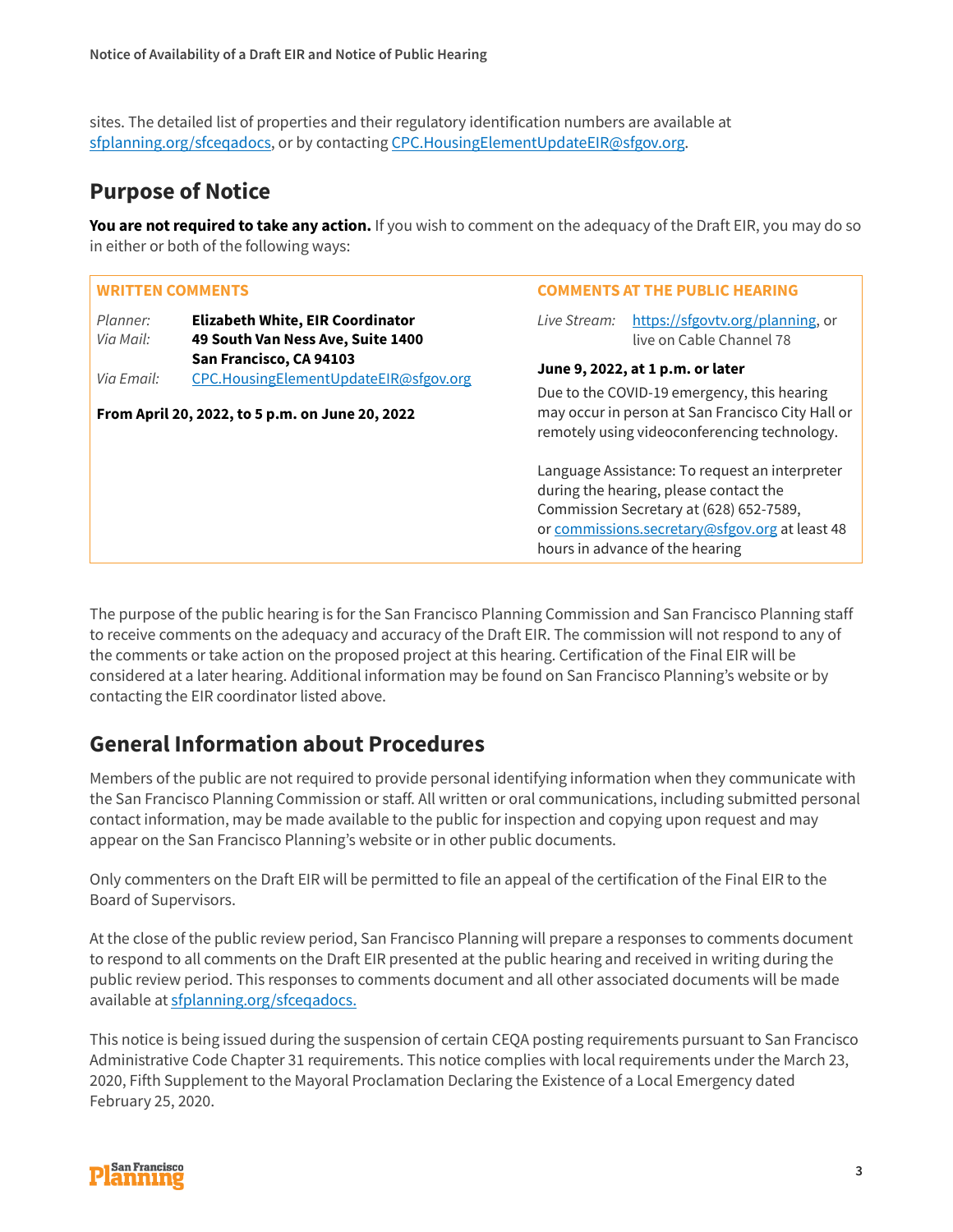sites. The detailed list of properties and their regulatory identification numbers are available at sfplanning.org/sfceqadocs, or by contactin[g CPC.HousingElementUpdateEIR@sfgov.org.](mailto:CPC.HousingElementUpdateEIR@sfgov.org)

#### **Purpose of Notice**

**You are not required to take any action.** If you wish to comment on the adequacy of the Draft EIR, you may do so in either or both of the following ways:

| <b>WRITTEN COMMENTS</b>                         |                                                                              | <b>COMMENTS AT THE PUBLIC HEARING</b>                                                                                                            |                                                                                                                                                                                                                          |  |
|-------------------------------------------------|------------------------------------------------------------------------------|--------------------------------------------------------------------------------------------------------------------------------------------------|--------------------------------------------------------------------------------------------------------------------------------------------------------------------------------------------------------------------------|--|
| Planner:<br>Via Mail:                           | <b>Elizabeth White, EIR Coordinator</b><br>49 South Van Ness Ave, Suite 1400 | Live Stream:                                                                                                                                     | https://sfgovtv.org/planning, or<br>live on Cable Channel 78                                                                                                                                                             |  |
| Via Email:                                      | San Francisco, CA 94103<br>CPC.HousingElementUpdateEIR@sfgov.org             |                                                                                                                                                  | June 9, 2022, at 1 p.m. or later                                                                                                                                                                                         |  |
| From April 20, 2022, to 5 p.m. on June 20, 2022 |                                                                              | Due to the COVID-19 emergency, this hearing<br>may occur in person at San Francisco City Hall or<br>remotely using videoconferencing technology. |                                                                                                                                                                                                                          |  |
|                                                 |                                                                              |                                                                                                                                                  | Language Assistance: To request an interpreter<br>during the hearing, please contact the<br>Commission Secretary at (628) 652-7589,<br>or commissions.secretary@sfgov.org at least 48<br>hours in advance of the hearing |  |

The purpose of the public hearing is for the San Francisco Planning Commission and San Francisco Planning staff to receive comments on the adequacy and accuracy of the Draft EIR. The commission will not respond to any of the comments or take action on the proposed project at this hearing. Certification of the Final EIR will be considered at a later hearing. Additional information may be found on San Francisco Planning's website or by contacting the EIR coordinator listed above.

### **General Information about Procedures**

Members of the public are not required to provide personal identifying information when they communicate with the San Francisco Planning Commission or staff. All written or oral communications, including submitted personal contact information, may be made available to the public for inspection and copying upon request and may appear on the San Francisco Planning's website or in other public documents.

Only commenters on the Draft EIR will be permitted to file an appeal of the certification of the Final EIR to the Board of Supervisors.

At the close of the public review period, San Francisco Planning will prepare a responses to comments document to respond to all comments on the Draft EIR presented at the public hearing and received in writing during the public review period. This responses to comments document and all other associated documents will be made available at [sfplanning.org/sfceqadocs.](https://sfplanning.org/environmental-review-documents)

This notice is being issued during the suspension of certain CEQA posting requirements pursuant to San Francisco Administrative Code Chapter 31 requirements. This notice complies with local requirements under the March 23, 2020, Fifth Supplement to the Mayoral Proclamation Declaring the Existence of a Local Emergency dated February 25, 2020.